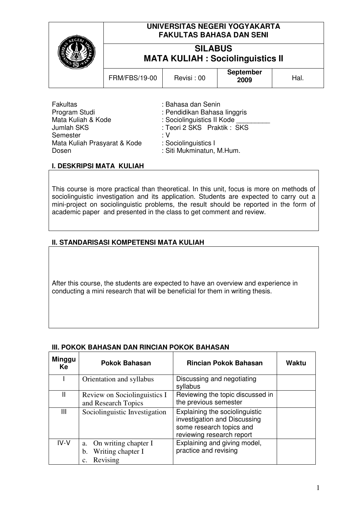| UNIVERSITAS NEGERI YOGYAKARTA<br><b>FAKULTAS BAHASA DAN SENI</b> |            |                          |      |
|------------------------------------------------------------------|------------|--------------------------|------|
| <b>SILABUS</b><br><b>MATA KULIAH : Sociolinguistics II</b>       |            |                          |      |
| <b>FRM/FBS/19-00</b>                                             | Revisi: 00 | <b>September</b><br>2009 | Hal. |
|                                                                  |            |                          |      |

| <b>Fakultas</b>              | : Bahasa dan Senin           |
|------------------------------|------------------------------|
| Program Studi                | : Pendidikan Bahasa linggris |
| Mata Kuliah & Kode           | : Sociolinguistics II Kode   |
| <b>Jumlah SKS</b>            | : Teori 2 SKS Praktik: SKS   |
| Semester                     | : V                          |
| Mata Kuliah Prasyarat & Kode | : Sociolinguistics I         |
| Dosen                        | : Siti Mukminatun, M.Hum.    |

### **I. DESKRIPSI MATA KULIAH**

This course is more practical than theoretical. In this unit, focus is more on methods of sociolinguistic investigation and its application. Students are expected to carry out a mini-project on sociolinguistic problems, the result should be reported in the form of academic paper and presented in the class to get comment and review.

### **II. STANDARISASI KOMPETENSI MATA KULIAH**

After this course, the students are expected to have an overview and experience in conducting a mini research that will be beneficial for them in writing thesis.

| <b>Minggu</b><br>Ke | <b>Pokok Bahasan</b>                                              | <b>Rincian Pokok Bahasan</b>                                                                                            | <b>Waktu</b> |
|---------------------|-------------------------------------------------------------------|-------------------------------------------------------------------------------------------------------------------------|--------------|
|                     | Orientation and syllabus                                          | Discussing and negotiating<br>syllabus                                                                                  |              |
| Ш                   | Review on Sociolinguistics I<br>and Research Topics               | Reviewing the topic discussed in<br>the previous semester                                                               |              |
| Ш                   | Sociolinguistic Investigation                                     | Explaining the sociolinguistic<br>investigation and Discussing<br>some research topics and<br>reviewing research report |              |
| $IV-V$              | On writing chapter I<br>a.<br>Writing chapter I<br>b.<br>Revising | Explaining and giving model,<br>practice and revising                                                                   |              |

### **III. POKOK BAHASAN DAN RINCIAN POKOK BAHASAN**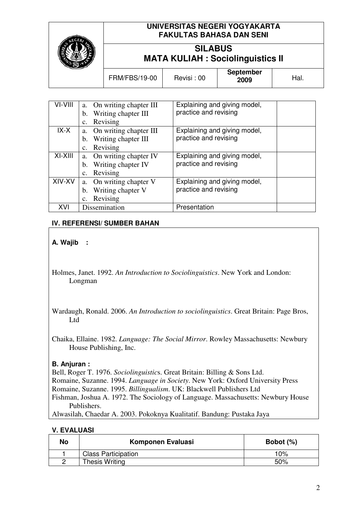

# **UNIVERSITAS NEGERI YOGYAKARTA FAKULTAS BAHASA DAN SENI**

# **SILABUS MATA KULIAH : Sociolinguistics II**

|  | <b>FRM/FBS/19-00</b> | Revisi: 00 | <b>September</b><br>2009 | ้ lal. |
|--|----------------------|------------|--------------------------|--------|
|--|----------------------|------------|--------------------------|--------|

| VI-VIII | a. On writing chapter III  | Explaining and giving model, |
|---------|----------------------------|------------------------------|
|         | Writing chapter III<br>b.  | practice and revising        |
|         | Revising<br>$\mathbf{C}$ . |                              |
| $IX-X$  | a. On writing chapter III  | Explaining and giving model, |
|         | Writing chapter III<br>b.  | practice and revising        |
|         | Revising<br>$\mathbf{c}$ . |                              |
| XI-XIII | a. On writing chapter IV   | Explaining and giving model, |
|         | b. Writing chapter IV      | practice and revising        |
|         | Revising<br>c.             |                              |
| XIV-XV  | On writing chapter V<br>a. | Explaining and giving model, |
|         | Writing chapter V<br>b.    | practice and revising        |
|         | Revising<br>c.             |                              |
| XVI     | Dissemination              | Presentation                 |

## **IV. REFERENSI/ SUMBER BAHAN**

## **A. Wajib :**

- Holmes, Janet. 1992. *An Introduction to Sociolinguistics*. New York and London: Longman
- Wardaugh, Ronald. 2006. *An Introduction to sociolinguistics*. Great Britain: Page Bros, Ltd

Chaika, Ellaine. 1982. *Language: The Social Mirror*. Rowley Massachusetts: Newbury House Publishing, Inc.

### **B. Anjuran :**

Bell, Roger T. 1976. *Sociolinguistic*s. Great Britain: Billing & Sons Ltd.

- Romaine, Suzanne. 1994. *Language in Society*. New York: Oxford University Press
- Romaine, Suzanne. 1995. *Billingualism*. UK: Blackwell Publishers Ltd

Fishman, Joshua A. 1972. The Sociology of Language. Massachusetts: Newbury House Publishers.

Alwasilah, Chaedar A. 2003. Pokoknya Kualitatif. Bandung: Pustaka Jaya

#### **V. EVALUASI**

| No | Komponen Evaluasi          | Bobot $(\%)$ |
|----|----------------------------|--------------|
|    | <b>Class Participation</b> | 10%          |
|    | <b>Thesis Writing</b>      | 50%          |